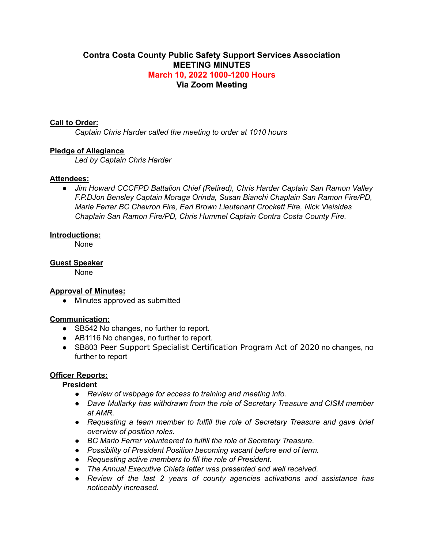# **Contra Costa County Public Safety Support Services Association MEETING MINUTES March 10, 2022 1000-1200 Hours Via Zoom Meeting**

#### **Call to Order:**

*Captain Chris Harder called the meeting to order at 1010 hours*

## **Pledge of Allegiance**

*Led by Captain Chris Harder*

#### **Attendees:**

*● Jim Howard CCCFPD Battalion Chief (Retired), Chris Harder Captain San Ramon Valley F.P.DJon Bensley Captain Moraga Orinda, Susan Bianchi Chaplain San Ramon Fire/PD, Marie Ferrer BC Chevron Fire, Earl Brown Lieutenant Crockett Fire, Nick Vleisides Chaplain San Ramon Fire/PD, Chris Hummel Captain Contra Costa County Fire.*

#### **Introductions:**

None

# **Guest Speaker**

None

## **Approval of Minutes:**

• Minutes approved as submitted

## **Communication:**

- SB542 No changes, no further to report.
- AB1116 No changes, no further to report.
- SB803 Peer Support Specialist Certification Program Act of 2020 no changes, no further to report

# **Officer Reports:**

**President**

- *● Review of webpage for access to training and meeting info.*
- *● Dave Mullarky has withdrawn from the role of Secretary Treasure and CISM member at AMR.*
- *● Requesting a team member to fulfill the role of Secretary Treasure and gave brief overview of position roles.*
- *● BC Mario Ferrer volunteered to fulfill the role of Secretary Treasure.*
- *● Possibility of President Position becoming vacant before end of term.*
- *● Requesting active members to fill the role of President.*
- *● The Annual Executive Chiefs letter was presented and well received.*
- *● Review of the last 2 years of county agencies activations and assistance has noticeably increased.*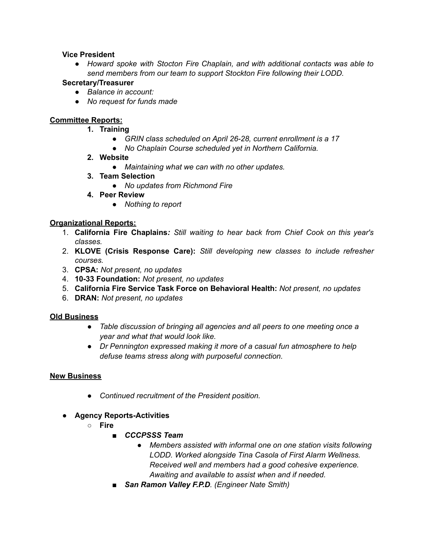# **Vice President**

*● Howard spoke with Stocton Fire Chaplain, and with additional contacts was able to send members from our team to support Stockton Fire following their LODD.*

## **Secretary/Treasurer**

- *● Balance in account:*
- *● No request for funds made*

# **Committee Reports:**

- **1. Training**
	- *● GRIN class scheduled on April 26-28, current enrollment is a 17*
	- *● No Chaplain Course scheduled yet in Northern California.*
- **2. Website**
	- *● Maintaining what we can with no other updates.*
- **3. Team Selection**
	- *● No updates from Richmond Fire*
- **4. Peer Review**
	- *● Nothing to report*

# **Organizational Reports:**

- 1. **California Fire Chaplains***: Still waiting to hear back from Chief Cook on this year's classes.*
- 2. **KLOVE (Crisis Response Care):** *Still developing new classes to include refresher courses.*
- 3. **CPSA:** *Not present, no updates*
- 4. **10-33 Foundation:** *Not present, no updates*
- 5. **California Fire Service Task Force on Behavioral Health:** *Not present, no updates*
- 6. **DRAN:** *Not present, no updates*

## **Old Business**

- *Table discussion of bringing all agencies and all peers to one meeting once a year and what that would look like.*
- *● Dr Pennington expressed making it more of a casual fun atmosphere to help defuse teams stress along with purposeful connection.*

# **New Business**

- *Continued recruitment of the President position.*
- **Agency Reports-Activities**
	- **○ Fire**
		- *CCCPSSS Team*
			- *Members assisted with informal one on one station visits following LODD. Worked alongside Tina Casola of First Alarm Wellness. Received well and members had a good cohesive experience. Awaiting and available to assist when and if needed.*
		- *San Ramon Valley F.P.D. (Engineer Nate Smith)*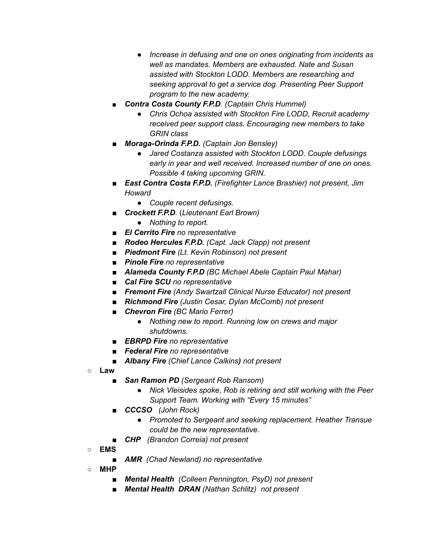- *● Increase in defusing and one on ones originating from incidents as well as mandates. Members are exhausted. Nate and Susan assisted with Stockton LODD. Members are researching and seeking approval to get a service dog. Presenting Peer Support program to the new academy.*
- *■ Contra Costa County F.P.D. (Captain Chris Hummel)*
	- *● Chris Ochoa assisted with Stockton Fire LODD, Recruit academy received peer support class. Encouraging new members to take GRIN class*
- *Moraga-Orinda F.P.D. (Captain Jon Bensley)*
	- *● Jared Costanza assisted with Stockton LODD. Couple defusings early in year and well received. Increased number of one on ones. Possible 4 taking upcoming GRIN.*
- *East Contra Costa F.P.D. (Firefighter Lance Brashier) not present, Jim Howard*
	- *● Couple recent defusings.*
- *Crockett F.P.D.* (*Lieutenant Earl Brown)*
	- *● Nothing to report.*
- *El Cerrito Fire no representative*
- *Rodeo Hercules F.P.D. (Capt. Jack Clapp) not present*
- *Piedmont Fire (Lt. Kevin Robinson) not present*
- *Pinole Fire no representative*
- *■ Alameda County F.P.D (BC Michael Abele Captain Paul Mahar)*
- *Cal Fire SCU no representative*
- *■ Fremont Fire (Andy Swartzall Clinical Nurse Educator) not present*
- *■ Richmond Fire (Justin Cesar, Dylan McComb) not present*
- *■ Chevron Fire (BC Mario Ferrer)*
	- *● Nothing new to report. Running low on crews and major shutdowns.*
- *■ EBRPD Fire no representative*
- *■ Federal Fire no representative*
- *■ Albany Fire (Chief Lance Calkins) not present*
- **○ Law**
	- *San Ramon PD (Sergeant Rob Ransom)* 
		- *Nick Vleisides spoke, Rob is retiring and still working with the Peer Support Team. Working with "Every 15 minutes"*
	- *■ CCCSO (John Rock)*
		- *● Promoted to Sergeant and seeking replacement. Heather Transue could be the new representative.*
	- *CHP (Brandon Correia) not present*
- **○ EMS**
	- *AMR (Chad Newland) no representative*
- **○ MHP**
	- *■ Mental Health (Colleen Pennington, PsyD) not present*
	- *■ Mental Health DRAN (Nathan Schlitz) not present*